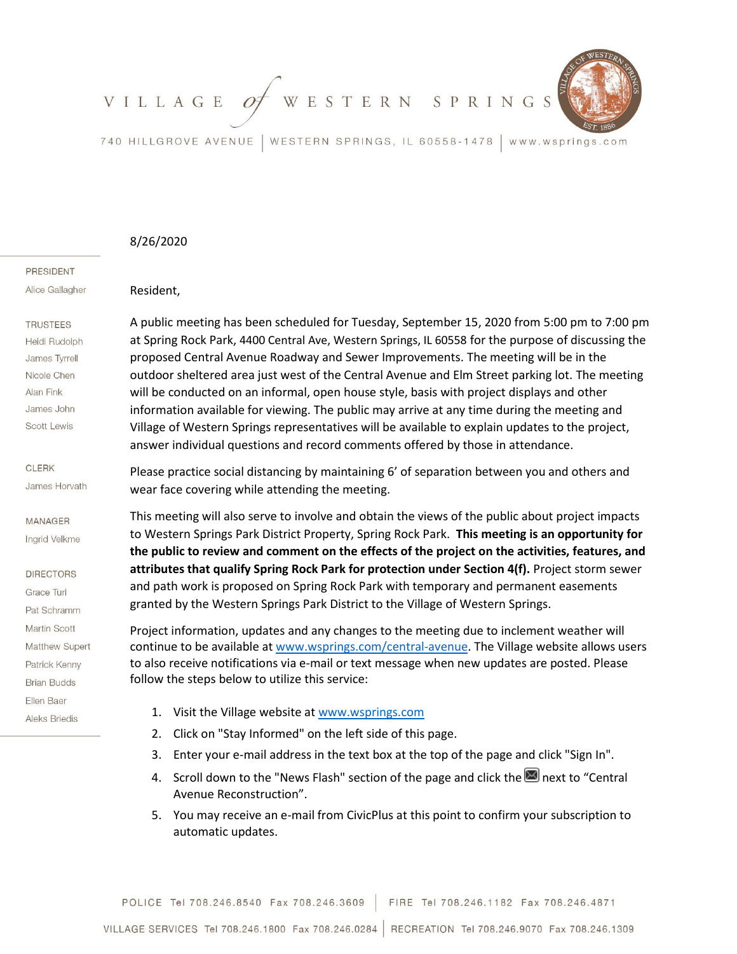

740 HILLGROVE AVENUE | WESTERN SPRINGS, IL 60558-1478 www.wsprings.com

### 8/26/2020

Resident,

PRESIDENT

Alice Gallagher

# **TRUSTEES**

Heidi Rudolph James Tyrrell Nicole Chen Alan Fink James John Scott Lewis

#### **CLERK**

James Horvath

# **MANAGER**

Inarid Velkme

## **DIRECTORS**

Grace Turi Pat Schramm Martin Scott Matthew Supert Patrick Kenny **Brian Budds** Ellen Baer **Aleks Briedis** 

A public meeting has been scheduled for Tuesday, September 15, 2020 from 5:00 pm to 7:00 pm at Spring Rock Park, 4400 Central Ave, Western Springs, IL 60558 for the purpose of discussing the proposed Central Avenue Roadway and Sewer Improvements. The meeting will be in the outdoor sheltered area just west of the Central Avenue and Elm Street parking lot. The meeting will be conducted on an informal, open house style, basis with project displays and other information available for viewing. The public may arrive at any time during the meeting and Village of Western Springs representatives will be available to explain updates to the project, answer individual questions and record comments offered by those in attendance.

Please practice social distancing by maintaining 6' of separation between you and others and wear face covering while attending the meeting.

This meeting will also serve to involve and obtain the views of the public about project impacts to Western Springs Park District Property, Spring Rock Park. **This meeting is an opportunity for the public to review and comment on the effects of the project on the activities, features, and attributes that qualify Spring Rock Park for protection under Section 4(f).** Project storm sewer and path work is proposed on Spring Rock Park with temporary and permanent easements granted by the Western Springs Park District to the Village of Western Springs.

Project information, updates and any changes to the meeting due to inclement weather will continue to be available at [www.wsprings.com/central-avenue.](http://www.wsprings.com/central-avenue) The Village website allows users to also receive notifications via e-mail or text message when new updates are posted. Please follow the steps below to utilize this service:

- 1. Visit the Village website a[t www.wsprings.com](http://www.wsprings.com/)
- 2. Click on "Stay Informed" on the left side of this page.
- 3. Enter your e-mail address in the text box at the top of the page and click "Sign In".
- 4. Scroll down to the "News Flash" section of the page and click the  $\blacksquare$  next to "Central Avenue Reconstruction".
- 5. You may receive an e-mail from CivicPlus at this point to confirm your subscription to automatic updates.